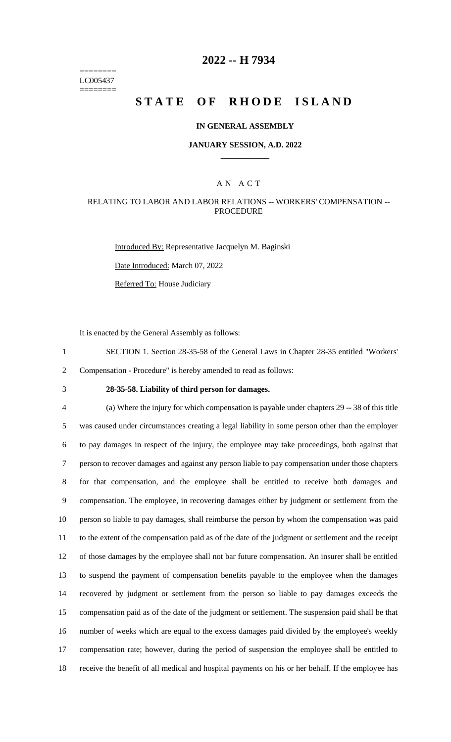======== LC005437 ========

## **2022 -- H 7934**

# **STATE OF RHODE ISLAND**

### **IN GENERAL ASSEMBLY**

#### **JANUARY SESSION, A.D. 2022 \_\_\_\_\_\_\_\_\_\_\_\_**

### A N A C T

### RELATING TO LABOR AND LABOR RELATIONS -- WORKERS' COMPENSATION -- PROCEDURE

Introduced By: Representative Jacquelyn M. Baginski Date Introduced: March 07, 2022 Referred To: House Judiciary

It is enacted by the General Assembly as follows:

1 SECTION 1. Section 28-35-58 of the General Laws in Chapter 28-35 entitled "Workers' 2 Compensation - Procedure" is hereby amended to read as follows:

# 3 **28-35-58. Liability of third person for damages.**

 (a) Where the injury for which compensation is payable under chapters 29 -- 38 of this title was caused under circumstances creating a legal liability in some person other than the employer to pay damages in respect of the injury, the employee may take proceedings, both against that person to recover damages and against any person liable to pay compensation under those chapters for that compensation, and the employee shall be entitled to receive both damages and compensation. The employee, in recovering damages either by judgment or settlement from the person so liable to pay damages, shall reimburse the person by whom the compensation was paid to the extent of the compensation paid as of the date of the judgment or settlement and the receipt of those damages by the employee shall not bar future compensation. An insurer shall be entitled to suspend the payment of compensation benefits payable to the employee when the damages recovered by judgment or settlement from the person so liable to pay damages exceeds the compensation paid as of the date of the judgment or settlement. The suspension paid shall be that number of weeks which are equal to the excess damages paid divided by the employee's weekly compensation rate; however, during the period of suspension the employee shall be entitled to receive the benefit of all medical and hospital payments on his or her behalf. If the employee has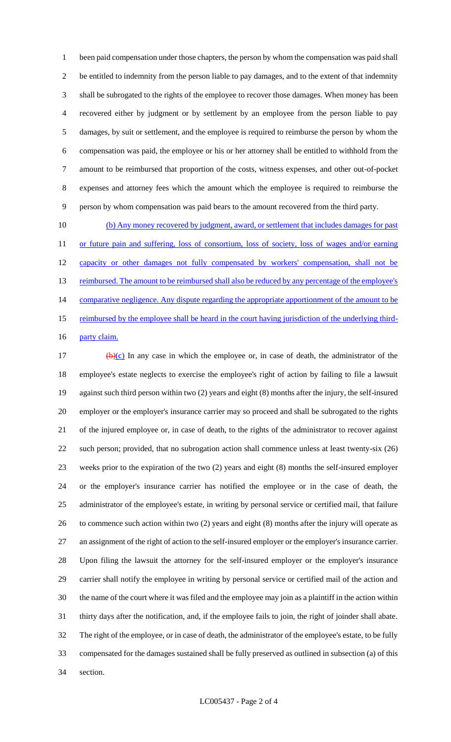been paid compensation under those chapters, the person by whom the compensation was paid shall be entitled to indemnity from the person liable to pay damages, and to the extent of that indemnity shall be subrogated to the rights of the employee to recover those damages. When money has been recovered either by judgment or by settlement by an employee from the person liable to pay damages, by suit or settlement, and the employee is required to reimburse the person by whom the compensation was paid, the employee or his or her attorney shall be entitled to withhold from the amount to be reimbursed that proportion of the costs, witness expenses, and other out-of-pocket expenses and attorney fees which the amount which the employee is required to reimburse the person by whom compensation was paid bears to the amount recovered from the third party.

 (b) Any money recovered by judgment, award, or settlement that includes damages for past 11 or future pain and suffering, loss of consortium, loss of society, loss of wages and/or earning 12 capacity or other damages not fully compensated by workers' compensation, shall not be 13 reimbursed. The amount to be reimbursed shall also be reduced by any percentage of the employee's 14 comparative negligence. Any dispute regarding the appropriate apportionment of the amount to be 15 reimbursed by the employee shall be heard in the court having jurisdiction of the underlying third-16 party claim.

17 (b)(c) In any case in which the employee or, in case of death, the administrator of the employee's estate neglects to exercise the employee's right of action by failing to file a lawsuit against such third person within two (2) years and eight (8) months after the injury, the self-insured employer or the employer's insurance carrier may so proceed and shall be subrogated to the rights of the injured employee or, in case of death, to the rights of the administrator to recover against such person; provided, that no subrogation action shall commence unless at least twenty-six (26) weeks prior to the expiration of the two (2) years and eight (8) months the self-insured employer or the employer's insurance carrier has notified the employee or in the case of death, the administrator of the employee's estate, in writing by personal service or certified mail, that failure to commence such action within two (2) years and eight (8) months after the injury will operate as an assignment of the right of action to the self-insured employer or the employer's insurance carrier. Upon filing the lawsuit the attorney for the self-insured employer or the employer's insurance carrier shall notify the employee in writing by personal service or certified mail of the action and the name of the court where it was filed and the employee may join as a plaintiff in the action within thirty days after the notification, and, if the employee fails to join, the right of joinder shall abate. The right of the employee, or in case of death, the administrator of the employee's estate, to be fully compensated for the damages sustained shall be fully preserved as outlined in subsection (a) of this section.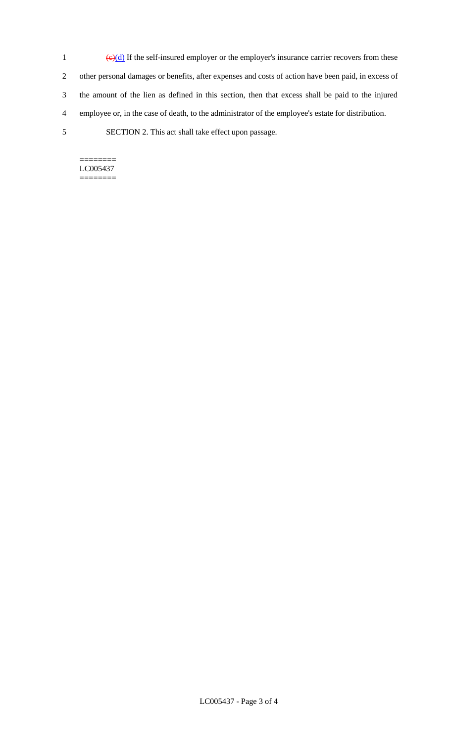- 1  $\left(\frac{e}{d}\right)$  If the self-insured employer or the employer's insurance carrier recovers from these 2 other personal damages or benefits, after expenses and costs of action have been paid, in excess of 3 the amount of the lien as defined in this section, then that excess shall be paid to the injured 4 employee or, in the case of death, to the administrator of the employee's estate for distribution.
- 5 SECTION 2. This act shall take effect upon passage.

 $=$ LC005437 ========